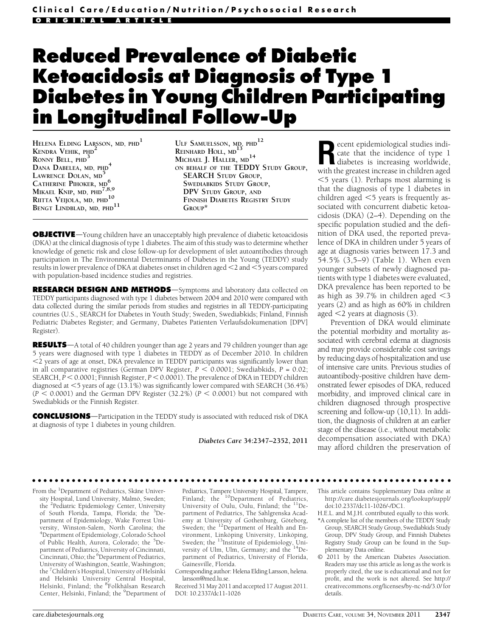# Reduced Prevalence of Diabetic Ketoacidosis at Diagnosis of Type 1 Diabetes in Young Children Participating in Longitudinal Follow-Up

HELENA ELDING LARSSON, MD, PHD<sup>1</sup> KENDRA VEHIK, PHD<sup>2</sup> RONNY BELL, PHD<sup>3</sup> DANA DABELEA, MD, PHD<sup>4</sup> LAWRENCE DOLAN, MD CATHERINE PIHOKER, MD<sup>6</sup> MIKAEL KNIP, MD,  $PHD$ <sup>7</sup>,8,9 RIITTA VEIJOLA, MD, PHD<sup>10</sup> BENGT LINDBLAD, MD, PHD<sup>11</sup>

ULF SAMUELSSON,  $MD$ ,  $PHD$ <sup>12</sup> REINHARD HOLL, MD<sup>1</sup> MICHAEL J. HALLER, MD<sup>14</sup> ON BEHALF OF THE TEDDY STUDY GROUP,<br>SEARCH STUDY GROUP, SWEDIABKIDS STUDY GROUP, DPV STUDY GROUP, AND FINNISH DIABETES REGISTRY STUDY  $G$ ROUP<sup>\*</sup>

**OBJECTIVE**—Young children have an unacceptably high prevalence of diabetic ketoacidosis (DKA) at the clinical diagnosis of type 1 diabetes. The aim of this study was to determine whether knowledge of genetic risk and close follow-up for development of islet autoantibodies through participation in The Environmental Determinants of Diabetes in the Young (TEDDY) study results in lower prevalence of DKA at diabetes onset in children aged  $<$  2 and  $<$  5 years compared with population-based incidence studies and registries.

RESEARCH DESIGN AND METHODS-Symptoms and laboratory data collected on TEDDY participants diagnosed with type 1 diabetes between 2004 and 2010 were compared with data collected during the similar periods from studies and registries in all TEDDY-participating countries (U.S., SEARCH for Diabetes in Youth Study; Sweden, Swediabkids; Finland, Finnish Pediatric Diabetes Register; and Germany, Diabetes Patienten Verlaufsdokumenation [DPV] Register).

**RESULTS**—A total of 40 children younger than age 2 years and 79 children younger than age 5 years were diagnosed with type 1 diabetes in TEDDY as of December 2010. In children ,2 years of age at onset, DKA prevalence in TEDDY participants was significantly lower than in all comparative registries (German DPV Register,  $P < 0.0001$ ; Swediabkids,  $P = 0.02$ ; SEARCH,  $P < 0.0001$ ; Finnish Register,  $P < 0.0001$ ). The prevalence of DKA in TEDDY children diagnosed at  $\leq$ 5 years of age (13.1%) was significantly lower compared with SEARCH (36.4%)  $(P \le 0.0001)$  and the German DPV Register (32.2%) ( $P \le 0.0001$ ) but not compared with Swediabkids or the Finnish Register.

**CONCLUSIONS**—Participation in the TEDDY study is associated with reduced risk of DKA at diagnosis of type 1 diabetes in young children.

Diabetes Care 34:2347–2352, 2011

Recent epidemiological studies indicate that the incidence of type 1 diabetes is increasing worldwide, with the greatest increase in children aged  $<$  5 years (1). Perhaps most alarming is that the diagnosis of type 1 diabetes in children aged  $<$  5 years is frequently associated with concurrent diabetic ketoacidosis (DKA) (2–4). Depending on the specific population studied and the definition of DKA used, the reported prevalence of DKA in children under 5 years of age at diagnosis varies between 17.3 and 54.5% (3,5–9) (Table 1). When even younger subsets of newly diagnosed patients with type 1 diabetes were evaluated, DKA prevalence has been reported to be as high as  $39.7\%$  in children aged  $<$ 3 years (2) and as high as 60% in children aged  $\leq$ 2 years at diagnosis (3).

Prevention of DKA would eliminate the potential morbidity and mortality associated with cerebral edema at diagnosis and may provide considerable cost savings by reducing days of hospitalization and use of intensive care units. Previous studies of autoantibody-positive children have demonstrated fewer episodes of DKA, reduced morbidity, and improved clinical care in children diagnosed through prospective screening and follow-up (10,11). In addition, the diagnosis of children at an earlier stage of the disease (i.e., without metabolic decompensation associated with DKA) may afford children the preservation of

ccccccccccccccccccccccccccccccccccccccccccccccccccccccccccccccccccccccccc c

From the <sup>1</sup>Department of Pediatrics, Skåne University Hospital, Lund University, Malmö, Sweden; the <sup>2</sup>Pediatric Epidemiology Center, University of South Florida, Tampa, Florida; the <sup>3</sup>Department of Epidemiology, Wake Forrest University, Winston-Salem, North Carolina; the 4 Department of Epidemiology, Colorado School of Public Health, Aurora, Colorado; the <sup>5</sup>Department of Pediatrics, University of Cincinnati, Cincinnati, Ohio; the <sup>6</sup>Department of Pediatrics, University of Washington, Seattle, Washington; the <sup>7</sup> Children's Hospital, University of Helsinki and Helsinki University Central Hospital, Helsinki, Finland; the <sup>8</sup>Folkhälsan Research Center, Helsinki, Finland; the <sup>9</sup>Department of

Pediatrics, Tampere University Hospital, Tampere,<br>Finland; the <sup>10</sup>Department of Pediatrics, University of Oulu, Oulu, Finland; the <sup>11</sup>Department of Pediatrics, The Sahlgrenska Academy at University of Gothenburg, Göteborg, Sweden; the <sup>12</sup>Department of Health and Environment, Linköping University, Linköping, Sweden; the <sup>13</sup>Institute of Epidemiology, University of Ulm, Ulm, Germany; and the <sup>14</sup>Department of Pediatrics, University of Florida, Gainesville, Florida.

Corresponding author: Helena Elding Larsson, helena. larsson@med.lu.se.

Received 31 May 2011 and accepted 17 August 2011. DOI: 10.2337/dc11-1026

- This article contains Supplementary Data online at http://care.diabetesjournals.org/lookup/suppl/ doi:10.2337/dc11-1026/-/DC1.
- H.E.L. and M.J.H. contributed equally to this work. \*A complete list of the members of the TEDDY Study Group, SEARCH Study Group, Swediabkids Study Group, DPV Study Group, and Finnish Diabetes Registry Study Group can be found in the Supplementary Data online.
- © 2011 by the American Diabetes Association. Readers may use this article as long as the work is properly cited, the use is educational and not for profit, and the work is not altered. See http:// creativecommons.org/licenses/by-nc-nd/3.0/ for details.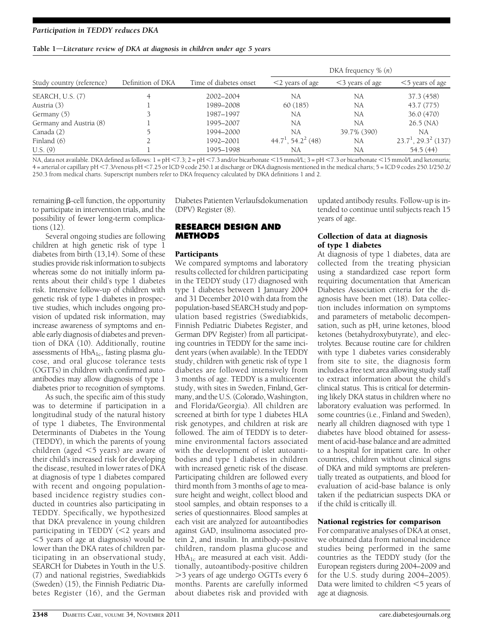### Table 1-Literature review of DKA at diagnosis in children under age 5 years

|                           |                   |                        |                                   | DKA frequency $\%$ $(n)$ |                           |
|---------------------------|-------------------|------------------------|-----------------------------------|--------------------------|---------------------------|
| Study country (reference) | Definition of DKA | Time of diabetes onset | $<$ 2 years of age                | $<$ 3 years of age       | $<$ 5 years of age        |
| SEARCH, U.S. (7)          |                   | 2002-2004              | NA                                | NA                       | 37.3 (458)                |
| Austria (3)               |                   | 1989-2008              | 60(185)                           | NA                       | 43.7 (775)                |
| Germany (5)               |                   | 1987-1997              | NA                                | NA                       | 36.0 (470)                |
| Germany and Austria (8)   |                   | 1995-2007              | NA                                | NA                       | $26.5$ (NA)               |
| Canada (2)                |                   | 1994-2000              | NA                                | 39.7% (390)              | NA                        |
| Finland (6)               |                   | 1992-2001              | $44.7^1$ , 54.2 <sup>2</sup> (48) | NA                       | $23.7^1$ , $29.3^2$ (137) |
| U.S. (9)                  |                   | 1995-1998              | NA                                | NA                       | 54.5(44)                  |

NA, data not available. DKA defined as follows:  $1 = pH < 7.3$ ;  $2 = pH < 7.3$  and/or bicarbonate  $< 15$  mmol/L;  $3 = pH < 7.3$  or bicarbonate  $< 15$  mmol/L and ketonuria; 4 = arterial or capillary pH <7.3/venous pH <7.25 or ICD 9 code 250.1 at discharge or DKA diagnosis mentioned in the medical charts; 5 = ICD 9 codes 250.1/250.2/ 250.3 from medical charts. Superscript numbers refer to DKA frequency calculated by DKA definitions 1 and 2.

remaining  $\beta$ -cell function, the opportunity to participate in intervention trials, and the possibility of fewer long-term complications (12).

Several ongoing studies are following children at high genetic risk of type 1 diabetes from birth (13,14). Some of these studies provide risk information to subjects whereas some do not initially inform parents about their child's type 1 diabetes risk. Intensive follow-up of children with genetic risk of type 1 diabetes in prospective studies, which includes ongoing provision of updated risk information, may increase awareness of symptoms and enable early diagnosis of diabetes and prevention of DKA (10). Additionally, routine assessments of  $HbA_{1c}$ , fasting plasma glucose, and oral glucose tolerance tests (OGTTs) in children with confirmed autoantibodies may allow diagnosis of type 1 diabetes prior to recognition of symptoms.

As such, the specific aim of this study was to determine if participation in a longitudinal study of the natural history of type 1 diabetes, The Environmental Determinants of Diabetes in the Young (TEDDY), in which the parents of young children (aged  $<$ 5 years) are aware of their child's increased risk for developing the disease, resulted in lower rates of DKA at diagnosis of type 1 diabetes compared with recent and ongoing populationbased incidence registry studies conducted in countries also participating in TEDDY. Specifically, we hypothesized that DKA prevalence in young children participating in TEDDY  $\left( < 2 \right)$  years and  $\leq$  5 years of age at diagnosis) would be lower than the DKA rates of children participating in an observational study, SEARCH for Diabetes in Youth in the U.S. (7) and national registries, Swediabkids (Sweden) (15), the Finnish Pediatric Diabetes Register (16), and the German

Diabetes Patienten Verlaufsdokumenation (DPV) Register (8).

# RESEARCH DESIGN AND METHODS

# **Participants**

We compared symptoms and laboratory results collected for children participating in the TEDDY study (17) diagnosed with type 1 diabetes between 1 January 2004 and 31 December 2010 with data from the population-based SEARCH study and population based registries (Swediabkids, Finnish Pediatric Diabetes Register, and German DPV Register) from all participating countries in TEDDY for the same incident years (when available). In the TEDDY study, children with genetic risk of type 1 diabetes are followed intensively from 3 months of age. TEDDY is a multicenter study, with sites in Sweden, Finland, Germany, and the U.S. (Colorado, Washington, and Florida/Georgia). All children are screened at birth for type 1 diabetes HLA risk genotypes, and children at risk are followed. The aim of TEDDY is to determine environmental factors associated with the development of islet autoantibodies and type 1 diabetes in children with increased genetic risk of the disease. Participating children are followed every third month from 3 months of age to measure height and weight, collect blood and stool samples, and obtain responses to a series of questionnaires. Blood samples at each visit are analyzed for autoantibodies against GAD, insulinoma associated protein 2, and insulin. In antibody-positive children, random plasma glucose and  $HbA_{1c}$  are measured at each visit. Additionally, autoantibody-positive children .3 years of age undergo OGTTs every 6 months. Parents are carefully informed about diabetes risk and provided with

updated antibody results. Follow-up is intended to continue until subjects reach 15 years of age.

# Collection of data at diagnosis of type 1 diabetes

At diagnosis of type 1 diabetes, data are collected from the treating physician using a standardized case report form requiring documentation that American Diabetes Association criteria for the diagnosis have been met (18). Data collection includes information on symptoms and parameters of metabolic decompensation, such as pH, urine ketones, blood ketones (betahydroxybutyrate), and electrolytes. Because routine care for children with type 1 diabetes varies considerably from site to site, the diagnosis form includes a free text area allowing study staff to extract information about the child's clinical status. This is critical for determining likely DKA status in children where no laboratory evaluation was performed. In some countries (i.e., Finland and Sweden), nearly all children diagnosed with type 1 diabetes have blood obtained for assessment of acid-base balance and are admitted to a hospital for inpatient care. In other countries, children without clinical signs of DKA and mild symptoms are preferentially treated as outpatients, and blood for evaluation of acid-base balance is only taken if the pediatrician suspects DKA or if the child is critically ill.

# National registries for comparison

For comparative analyses of DKA at onset, we obtained data from national incidence studies being performed in the same countries as the TEDDY study (for the European registers during 2004–2009 and for the U.S. study during 2004–2005). Data were limited to children  $<$  5 years of age at diagnosis.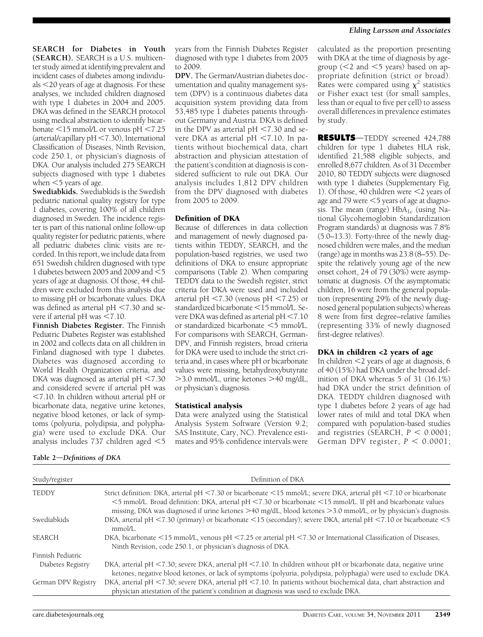SEARCH for Diabetes in Youth (SEARCH). SEARCH is a U.S. multicenter study aimed at identifying prevalent and incident cases of diabetes among individuals <20 years of age at diagnosis. For these analyses, we included children diagnosed with type 1 diabetes in 2004 and 2005. DKA was defined in the SEARCH protocol using medical abstraction to identify bicarbonate  $\leq$ 15 mmol/L or venous pH  $\leq$ 7.25  $(\text{arterial/capillary pH} < 7.30)$ , International Classification of Diseases, Ninth Revision, code 250.1, or physician's diagnosis of DKA. Our analysis included 275 SEARCH subjects diagnosed with type 1 diabetes when  $<$  5 years of age.

Swediabkids. Swediabkids is the Swedish pediatric national quality registry for type 1 diabetes, covering 100% of all children diagnosed in Sweden. The incidence register is part of this national online follow-up quality register for pediatric patients, where all pediatric diabetes clinic visits are recorded. In this report, we include data from 651 Swedish children diagnosed with type 1 diabetes between 2005 and 2009 and  $\leq$ 5 years of age at diagnosis. Of those, 44 children were excluded from this analysis due to missing pH or bicarbonate values. DKA was defined as arterial  $pH < 7.30$  and severe if arterial pH was  $\leq 7.10$ .

Finnish Diabetes Register. The Finnish Pediatric Diabetes Register was established in 2002 and collects data on all children in Finland diagnosed with type 1 diabetes. Diabetes was diagnosed according to World Health Organization criteria, and DKA was diagnosed as arterial pH  $<$ 7.30 and considered severe if arterial pH was  $<$ 7.10. In children without arterial pH or bicarbonate data, negative urine ketones, negative blood ketones, or lack of symptoms (polyuria, polydipsia, and polyphagia) were used to exclude DKA. Our analysis includes  $737$  children aged  $<$ 5

years from the Finnish Diabetes Register diagnosed with type 1 diabetes from 2005 to 2009.

DPV. The German/Austrian diabetes documentation and quality management system (DPV) is a continuous diabetes data acquisition system providing data from 53,485 type 1 diabetes patients throughout Germany and Austria. DKA is defined in the DPV as arterial  $pH < 7.30$  and severe DKA as arterial  $pH < 7.10$ . In patients without biochemical data, chart abstraction and physician attestation of the patient's condition at diagnosis is considered sufficient to rule out DKA. Our analysis includes 1,812 DPV children from the DPV diagnosed with diabetes from 2005 to 2009.

# Definition of DKA

Because of differences in data collection and management of newly diagnosed patients within TEDDY, SEARCH, and the population-based registries, we used two definitions of DKA to ensure appropriate comparisons (Table 2). When comparing TEDDY data to the Swedish register, strict criteria for DKA were used and included arterial pH  $< 7.30$  (venous pH  $< 7.25$ ) or standardized bicarbonate <15 mmol/L. Severe DKA was defined as arterial  $pH < 7.10$ or standardized bicarbonate <5 mmol/L. For comparisons with SEARCH, German-DPV, and Finnish registers, broad criteria for DKA were used to include the strict criteria and, in cases where pH or bicarbonate values were missing, betahydroxybutyrate >3.0 mmol/L, urine ketones >40 mg/dL, or physician's diagnosis.

# Statistical analysis

Data were analyzed using the Statistical Analysis System Software (Version 9.2; SAS Institute, Cary, NC). Prevalence estimates and 95% confidence intervals were

calculated as the proportion presenting with DKA at the time of diagnosis by agegroup ( $<$ 2 and  $<$ 5 years) based on appropriate definition (strict or broad). Rates were compared using  $\chi^2$  statistics or Fisher exact test (for small samples, less than or equal to five per cell) to assess overall differences in prevalence estimates by study.

RESULTS-TEDDY screened 424,788 children for type 1 diabetes HLA risk, identified 21,588 eligible subjects, and enrolled 8,677 children. As of 31 December 2010, 80 TEDDY subjects were diagnosed with type 1 diabetes (Supplementary Fig. 1). Of those, 40 children were  $\leq$  years of age and 79 were  $<$  5 years of age at diagnosis. The mean (range)  $HbA_{1c}$  (using National Glycohemoglobin Standardization Program standards) at diagnosis was 7.8% (5.0–13.3). Forty-three of the newly diagnosed children were males, and the median (range) age in months was 23.8 (8–55). Despite the relatively young age of the new onset cohort, 24 of 79 (30%) were asymptomatic at diagnosis. Of the asymptomatic children, 16 were from the general population (representing 29% of the newly diagnosed general population subjects) whereas 8 were from first degree–relative families (representing 33% of newly diagnosed first-degree relatives).

# DKA in children <2 years of age

In children <2 years of age at diagnosis, 6 of 40 (15%) had DKA under the broad definition of DKA whereas 5 of 31 (16.1%) had DKA under the strict definition of DKA. TEDDY children diagnosed with type 1 diabetes before 2 years of age had lower rates of mild and total DKA when compared with population-based studies and registries (SEARCH,  $P < 0.0001$ ; German DPV register,  $P < 0.0001$ ;

| Study/register      | Definition of DKA                                                                                                                                                                                                                                                                                                                                        |
|---------------------|----------------------------------------------------------------------------------------------------------------------------------------------------------------------------------------------------------------------------------------------------------------------------------------------------------------------------------------------------------|
| <b>TEDDY</b>        | Strict definition: DKA, arterial pH <7.30 or bicarbonate <15 mmol/L; severe DKA, arterial pH <7.10 or bicarbonate<br><5 mmol/L. Broad definition: DKA, arterial pH <7.30 or bicarbonate <15 mmol/L. If pH and bicarbonate values<br>missing, DKA was diagnosed if urine ketones $>$ 40 mg/dL, blood ketones $>$ 3.0 mmol/L, or by physician's diagnosis. |
| Swediabkids         | DKA, arterial pH <7.30 (primary) or bicarbonate <15 (secondary); severe DKA, arterial pH <7.10 or bicarbonate <5<br>mmol/L.                                                                                                                                                                                                                              |
| <b>SEARCH</b>       | DKA, bicarbonate <15 mmol/L, venous pH <7.25 or arterial pH <7.30 or International Classification of Diseases,<br>Ninth Revision, code 250.1, or physician's diagnosis of DKA.                                                                                                                                                                           |
| Finnish Pediatric   |                                                                                                                                                                                                                                                                                                                                                          |
| Diabetes Registry   | DKA, arterial pH $\leq$ 7.30; severe DKA, arterial pH $\leq$ 7.10. In children without pH or bicarbonate data, negative urine<br>ketones, negative blood ketones, or lack of symptoms (polyuria, polydipsia, polyphagia) were used to exclude DKA.                                                                                                       |
| German DPV Registry | DKA, arterial pH <7.30; severe DKA, arterial pH <7.10. In patients without biochemical data, chart abstraction and<br>physician attestation of the patient's condition at diagnosis was used to exclude DKA.                                                                                                                                             |

# Table 2-Definitions of DKA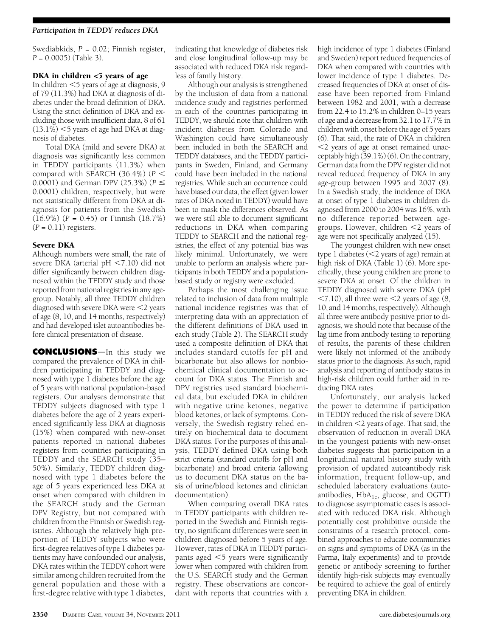# Participation in TEDDY reduces DKA

Swediabkids,  $P = 0.02$ ; Finnish register,  $P = 0.0005$  (Table 3).

## DKA in children <5 years of age

In children  $<$  5 years of age at diagnosis, 9 of 79 (11.3%) had DKA at diagnosis of diabetes under the broad definition of DKA. Using the strict definition of DKA and excluding those with insufficient data, 8 of 61  $(13.1\%)$   $<$  5 years of age had DKA at diagnosis of diabetes.

Total DKA (mild and severe DKA) at diagnosis was significantly less common in TEDDY participants (11.3%) when compared with SEARCH (36.4%) ( $P <$ 0.0001) and German DPV (25.3%) ( $P \leq$ 0.0001) children, respectively, but were not statistically different from DKA at diagnosis for patients from the Swedish  $(16.9\%) (P = 0.45)$  or Finnish  $(18.7\%)$  $(P = 0.11)$  registers.

# Severe DKA

Although numbers were small, the rate of severe DKA (arterial  $pH < 7.10$ ) did not differ significantly between children diagnosed within the TEDDY study and those reported from national registries in any agegroup. Notably, all three TEDDY children diagnosed with severe DKA were  $\leq$  years of age (8, 10, and 14 months, respectively) and had developed islet autoantibodies before clinical presentation of disease.

**CONCLUSIONS**—In this study we compared the prevalence of DKA in children participating in TEDDY and diagnosed with type 1 diabetes before the age of 5 years with national population-based registers. Our analyses demonstrate that TEDDY subjects diagnosed with type 1 diabetes before the age of 2 years experienced significantly less DKA at diagnosis (15%) when compared with new-onset patients reported in national diabetes registers from countries participating in TEDDY and the SEARCH study (35– 50%). Similarly, TEDDY children diagnosed with type 1 diabetes before the age of 5 years experienced less DKA at onset when compared with children in the SEARCH study and the German DPV Registry, but not compared with children from the Finnish or Swedish registries. Although the relatively high proportion of TEDDY subjects who were first-degree relatives of type 1 diabetes patients may have confounded our analysis, DKA rates within the TEDDY cohort were similar among children recruited from the general population and those with a first-degree relative with type 1 diabetes,

indicating that knowledge of diabetes risk and close longitudinal follow-up may be associated with reduced DKA risk regardless of family history.

Although our analysis is strengthened by the inclusion of data from a national incidence study and registries performed in each of the countries participating in TEDDY, we should note that children with incident diabetes from Colorado and Washington could have simultaneously been included in both the SEARCH and TEDDY databases, and the TEDDY participants in Sweden, Finland, and Germany could have been included in the national registries. While such an occurrence could have biased our data, the effect (given lower rates of DKA noted in TEDDY) would have been to mask the differences observed. As we were still able to document significant reductions in DKA when comparing TEDDY to SEARCH and the national registries, the effect of any potential bias was likely minimal. Unfortunately, we were unable to perform an analysis where participants in both TEDDY and a populationbased study or registry were excluded.

Perhaps the most challenging issue related to inclusion of data from multiple national incidence registries was that of interpreting data with an appreciation of the different definitions of DKA used in each study (Table 2). The SEARCH study used a composite definition of DKA that includes standard cutoffs for pH and bicarbonate but also allows for nonbiochemical clinical documentation to account for DKA status. The Finnish and DPV registries used standard biochemical data, but excluded DKA in children with negative urine ketones, negative blood ketones, or lack of symptoms. Conversely, the Swedish registry relied entirely on biochemical data to document DKA status. For the purposes of this analysis, TEDDY defined DKA using both strict criteria (standard cutoffs for pH and bicarbonate) and broad criteria (allowing us to document DKA status on the basis of urine/blood ketones and clinician documentation).

When comparing overall DKA rates in TEDDY participants with children reported in the Swedish and Finnish registry, no significant differences were seen in children diagnosed before 5 years of age. However, rates of DKA in TEDDY participants aged  $\leq$ 5 years were significantly lower when compared with children from the U.S. SEARCH study and the German registry. These observations are concordant with reports that countries with a

high incidence of type 1 diabetes (Finland and Sweden) report reduced frequencies of DKA when compared with countries with lower incidence of type 1 diabetes. Decreased frequencies of DKA at onset of disease have been reported from Finland between 1982 and 2001, with a decrease from 22.4 to 15.2% in children 0–15 years of age and a decrease from 32.1 to 17.7% in children with onset before the age of 5 years (6). That said, the rate of DKA in children  $<$ 2 years of age at onset remained unacceptably high (39.1%) (6). On the contrary, German data from the DPV register did not reveal reduced frequency of DKA in any age-group between 1995 and 2007 (8). In a Swedish study, the incidence of DKA at onset of type 1 diabetes in children diagnosed from 2000 to 2004 was 16%, with no difference reported between agegroups. However, children  $\leq$  years of age were not specifically analyzed (15).

The youngest children with new onset type 1 diabetes ( $<$ 2 years of age) remain at high risk of DKA (Table 1) (6). More specifically, these young children are prone to severe DKA at onset. Of the children in TEDDY diagnosed with severe DKA (pH  $\langle 7.10 \rangle$ , all three were  $\langle 2 \rangle$  years of age (8, 10, and 14 months, respectively). Although all three were antibody positive prior to diagnosis, we should note that because of the lag time from antibody testing to reporting of results, the parents of these children were likely not informed of the antibody status prior to the diagnosis. As such, rapid analysis and reporting of antibody status in high-risk children could further aid in reducing DKA rates.

Unfortunately, our analysis lacked the power to determine if participation in TEDDY reduced the risk of severe DKA in children  $<$ 2 years of age. That said, the observation of reduction in overall DKA in the youngest patients with new-onset diabetes suggests that participation in a longitudinal natural history study with provision of updated autoantibody risk information, frequent follow-up, and scheduled laboratory evaluations (autoantibodies, HbA<sub>1c</sub>, glucose, and OGTT) to diagnose asymptomatic cases is associated with reduced DKA risk. Although potentially cost prohibitive outside the constraints of a research protocol, combined approaches to educate communities on signs and symptoms of DKA (as in the Parma, Italy experiments) and to provide genetic or antibody screening to further identify high-risk subjects may eventually be required to achieve the goal of entirely preventing DKA in children.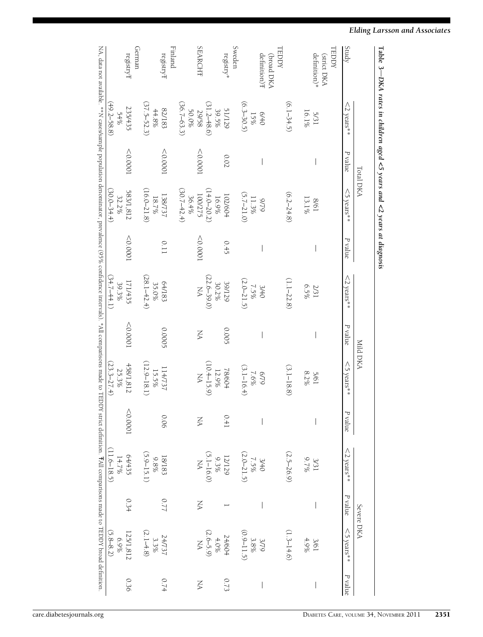|                                                                                                                                                                                                             |                       | Total DKA |                            |             |                        | Mild DKA |                        |          |                                   | Severe DKA |                                                            |                          |
|-------------------------------------------------------------------------------------------------------------------------------------------------------------------------------------------------------------|-----------------------|-----------|----------------------------|-------------|------------------------|----------|------------------------|----------|-----------------------------------|------------|------------------------------------------------------------|--------------------------|
| Study                                                                                                                                                                                                       | $<$ 2 years**         | P value   | $\leq$ 5 years**           | P value     | $<$ 2 years**          | P value  | $\leq$ 5 years**       | P value  | $<$ 2 years <sup>**</sup>         | P value    | $<$ 5 years <sup>**</sup>                                  | P value                  |
| TEDDY<br>(strict DKA                                                                                                                                                                                        |                       |           |                            |             |                        |          |                        |          |                                   |            |                                                            |                          |
| definition)*                                                                                                                                                                                                | 16.1%<br>5/31         |           | $13.1\%$<br>19/8           |             | 6.5%<br>2/31           |          | 8.2%<br>5/61           |          | 3/31<br>18/5                      |            | 4.9%<br>3/61                                               |                          |
|                                                                                                                                                                                                             | $(6.1 - 34.5)$        |           | $(6.2 - 24.8)$             |             | $(1.1 - 22.8)$         |          | $(3.1 - 18.8)$         |          | $(2.5 - 26.9)$                    |            | $(1.3 - 14.6)$                                             |                          |
| <b>TEDDY</b><br>(broad DKA                                                                                                                                                                                  |                       |           |                            |             |                        |          |                        |          |                                   |            |                                                            |                          |
| definition) <sup>7</sup>                                                                                                                                                                                    | 6/40                  |           | 6/6                        |             | 3/40                   |          | 6/79                   |          |                                   |            |                                                            | $\overline{\phantom{a}}$ |
|                                                                                                                                                                                                             | $(6.3 - 30.5)$<br>15% |           | $(5.7 - 21.0)$<br>$11.3\%$ |             | $(2.0 - 21.5)$<br>7.5% |          | $(3.1 - 16.4)$<br>7.6% |          | $3/40$<br>$7.5\%$<br>$(2.0-21.5)$ |            | $\begin{array}{c} 3/79 \\ 3.8\% \\ (0.9-11.5) \end{array}$ |                          |
| Sweden                                                                                                                                                                                                      |                       |           |                            |             |                        |          |                        |          |                                   |            |                                                            |                          |
| registry*                                                                                                                                                                                                   | 51/129                | 0.02      |                            | 0.45        |                        | 0.005    | 78/604                 | 0.41     |                                   |            |                                                            | 0.73                     |
|                                                                                                                                                                                                             | 39.5%                 |           | $102/604$<br>16.9%         |             | 39/129                 |          | 12.9%                  |          | 12/129                            |            | 24/604<br>4.0%                                             |                          |
|                                                                                                                                                                                                             | $(31.2 - 48.6)$       |           | $(14.0 - 20.2)$            |             | $(22.6 - 39.0)$        |          | $(10.4 - 15.9)$        |          | $(5.1 - 16.0)$<br>NA              |            | $(2.6-5.9)$                                                |                          |
| <b>SEARCHT</b>                                                                                                                                                                                              | 29/58                 | 10000     | 100/275                    | 10000       | $_{\rm N}$             | NA       | XA                     | XA       |                                   | XX         |                                                            | NA                       |
|                                                                                                                                                                                                             | 50.0%                 |           | $36.4\%$                   |             |                        |          |                        |          |                                   |            |                                                            |                          |
|                                                                                                                                                                                                             | $(36.7 - 63.3)$       |           | $(30.7 - 42.4)$            |             |                        |          |                        |          |                                   |            |                                                            |                          |
| Finland                                                                                                                                                                                                     |                       |           |                            |             |                        |          |                        |          |                                   |            |                                                            |                          |
| registry <sup>T</sup>                                                                                                                                                                                       | 82/183                | 10000     | 138/737                    | <b>0.11</b> | 64/183                 | 0.0005   | 114/737                | 0.06     | 18/183                            | 77.0       |                                                            | 0.74                     |
|                                                                                                                                                                                                             | $44.8\%$              |           | $18.7\%$                   |             | 35.0%                  |          | 15.5%                  |          | $9.88\%$                          |            | 24/737<br>3.3%                                             |                          |
|                                                                                                                                                                                                             | $(37.5 - 52.3)$       |           | $(16.0 - 21.8)$            |             | $(28.1 - 42.4)$        |          | $(12.9 - 18.1)$        |          | $(5.9 - 15.1)$                    |            | $(2.1 - 4.8)$                                              |                          |
| German                                                                                                                                                                                                      |                       |           |                            |             |                        |          |                        |          |                                   |            |                                                            |                          |
| ${\rm registryT}$                                                                                                                                                                                           | 235/435               | 100000    | 583/1,812                  | 10000       | 171/435                | 10000    | 458/1,812              | < 0.0001 |                                   | 0.34       | 125/1,812                                                  | 0.36                     |
|                                                                                                                                                                                                             | $54\%$                |           | 32.2%                      |             | 39.3%                  |          | 25.3%                  |          | $64/435$<br>14.7%                 |            | $6.9\%$                                                    |                          |
|                                                                                                                                                                                                             | $(49.2 - 58.8)$       |           | $(30.0 - 34.4)$            |             | $(34.7 - 44.1)$        |          | $(23.3 - 27.4)$        |          | $(11.6 - 18.5)$                   |            | $(5.8 - 8.2)$                                              |                          |
| NA, data not available. **N cases/sample population denominator, prevalence (95% confidence intervals). *All comparisons made to TEDDY strict definition. TAll comparisons made to TEDDY strict definition. |                       |           |                            |             |                        |          |                        |          |                                   |            |                                                            |                          |

# Elding Larsson and Associates

Table 3

DKA rates

in

children

aged <5 years

and <2 years

at

diagnosis